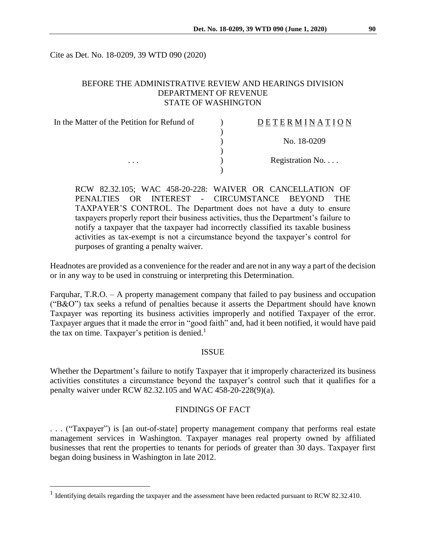Cite as Det. No. 18-0209, 39 WTD 090 (2020)

### BEFORE THE ADMINISTRATIVE REVIEW AND HEARINGS DIVISION DEPARTMENT OF REVENUE STATE OF WASHINGTON

| In the Matter of the Petition for Refund of | DETERMINATION   |
|---------------------------------------------|-----------------|
|                                             |                 |
|                                             | No. 18-0209     |
|                                             | Registration No |
| $\cdots$                                    |                 |

RCW 82.32.105; WAC 458-20-228: WAIVER OR CANCELLATION OF PENALTIES OR INTEREST - CIRCUMSTANCE BEYOND THE TAXPAYER'S CONTROL. The Department does not have a duty to ensure taxpayers properly report their business activities, thus the Department's failure to notify a taxpayer that the taxpayer had incorrectly classified its taxable business activities as tax-exempt is not a circumstance beyond the taxpayer's control for purposes of granting a penalty waiver.

Headnotes are provided as a convenience for the reader and are not in any way a part of the decision or in any way to be used in construing or interpreting this Determination.

Farquhar, T.R.O. – A property management company that failed to pay business and occupation ("B&O") tax seeks a refund of penalties because it asserts the Department should have known Taxpayer was reporting its business activities improperly and notified Taxpayer of the error. Taxpayer argues that it made the error in "good faith" and, had it been notified, it would have paid the tax on time. Taxpayer's petition is denied.<sup>1</sup>

#### ISSUE

Whether the Department's failure to notify Taxpayer that it improperly characterized its business activities constitutes a circumstance beyond the taxpayer's control such that it qualifies for a penalty waiver under RCW 82.32.105 and WAC 458-20-228(9)(a).

### FINDINGS OF FACT

. . . ("Taxpayer") is [an out-of-state] property management company that performs real estate management services in Washington. Taxpayer manages real property owned by affiliated businesses that rent the properties to tenants for periods of greater than 30 days. Taxpayer first began doing business in Washington in late 2012.

 $\overline{a}$ 

<sup>&</sup>lt;sup>1</sup> Identifying details regarding the taxpayer and the assessment have been redacted pursuant to RCW 82.32.410.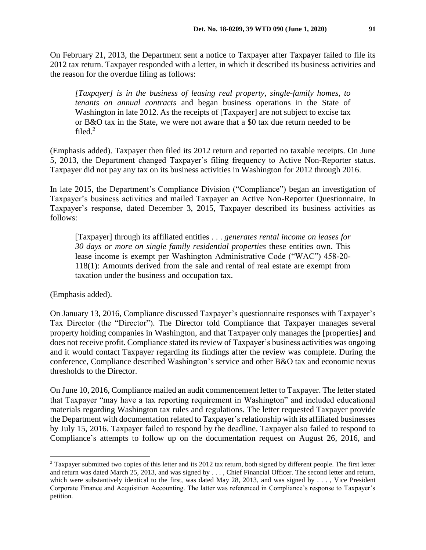On February 21, 2013, the Department sent a notice to Taxpayer after Taxpayer failed to file its 2012 tax return. Taxpayer responded with a letter, in which it described its business activities and the reason for the overdue filing as follows:

*[Taxpayer] is in the business of leasing real property, single-family homes, to tenants on annual contracts* and began business operations in the State of Washington in late 2012. As the receipts of [Taxpayer] are not subject to excise tax or B&O tax in the State, we were not aware that a \$0 tax due return needed to be filed. $<sup>2</sup>$ </sup>

(Emphasis added). Taxpayer then filed its 2012 return and reported no taxable receipts. On June 5, 2013, the Department changed Taxpayer's filing frequency to Active Non-Reporter status. Taxpayer did not pay any tax on its business activities in Washington for 2012 through 2016.

In late 2015, the Department's Compliance Division ("Compliance") began an investigation of Taxpayer's business activities and mailed Taxpayer an Active Non-Reporter Questionnaire. In Taxpayer's response, dated December 3, 2015, Taxpayer described its business activities as follows:

[Taxpayer] through its affiliated entities . . . *generates rental income on leases for 30 days or more on single family residential properties* these entities own. This lease income is exempt per Washington Administrative Code ("WAC") 458-20- 118(1): Amounts derived from the sale and rental of real estate are exempt from taxation under the business and occupation tax.

(Emphasis added).

 $\overline{a}$ 

On January 13, 2016, Compliance discussed Taxpayer's questionnaire responses with Taxpayer's Tax Director (the "Director"). The Director told Compliance that Taxpayer manages several property holding companies in Washington, and that Taxpayer only manages the [properties] and does not receive profit. Compliance stated its review of Taxpayer's business activities was ongoing and it would contact Taxpayer regarding its findings after the review was complete. During the conference, Compliance described Washington's service and other B&O tax and economic nexus thresholds to the Director.

On June 10, 2016, Compliance mailed an audit commencement letter to Taxpayer. The letter stated that Taxpayer "may have a tax reporting requirement in Washington" and included educational materials regarding Washington tax rules and regulations. The letter requested Taxpayer provide the Department with documentation related to Taxpayer'srelationship with its affiliated businesses by July 15, 2016. Taxpayer failed to respond by the deadline. Taxpayer also failed to respond to Compliance's attempts to follow up on the documentation request on August 26, 2016, and

<sup>&</sup>lt;sup>2</sup> Taxpayer submitted two copies of this letter and its 2012 tax return, both signed by different people. The first letter and return was dated March 25, 2013, and was signed by . . . , Chief Financial Officer. The second letter and return, which were substantively identical to the first, was dated May 28, 2013, and was signed by . . . , Vice President Corporate Finance and Acquisition Accounting. The latter was referenced in Compliance's response to Taxpayer's petition.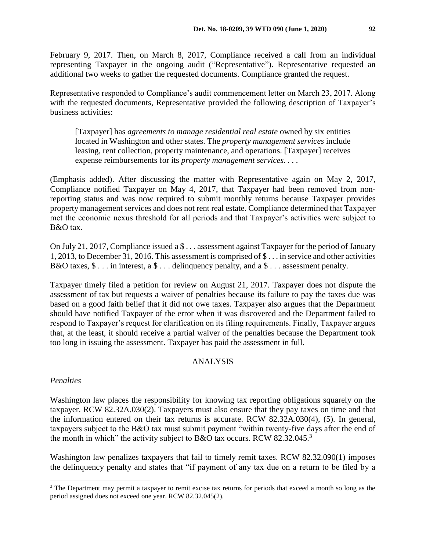February 9, 2017. Then, on March 8, 2017, Compliance received a call from an individual representing Taxpayer in the ongoing audit ("Representative"). Representative requested an additional two weeks to gather the requested documents. Compliance granted the request.

Representative responded to Compliance's audit commencement letter on March 23, 2017. Along with the requested documents, Representative provided the following description of Taxpayer's business activities:

[Taxpayer] has *agreements to manage residential real estate* owned by six entities located in Washington and other states. The *property management services* include leasing, rent collection, property maintenance, and operations. [Taxpayer] receives expense reimbursements for its *property management services. . . .*

(Emphasis added). After discussing the matter with Representative again on May 2, 2017, Compliance notified Taxpayer on May 4, 2017, that Taxpayer had been removed from nonreporting status and was now required to submit monthly returns because Taxpayer provides property management services and does not rent real estate. Compliance determined that Taxpayer met the economic nexus threshold for all periods and that Taxpayer's activities were subject to B&O tax.

On July 21, 2017, Compliance issued a \$ . . . assessment against Taxpayer for the period of January 1, 2013, to December 31, 2016. This assessment is comprised of \$ . . . in service and other activities B&O taxes,  $\$\dots$  in interest, a  $\$\dots$  delinguency penalty, and a  $\$\dots$  assessment penalty.

Taxpayer timely filed a petition for review on August 21, 2017. Taxpayer does not dispute the assessment of tax but requests a waiver of penalties because its failure to pay the taxes due was based on a good faith belief that it did not owe taxes. Taxpayer also argues that the Department should have notified Taxpayer of the error when it was discovered and the Department failed to respond to Taxpayer's request for clarification on its filing requirements. Finally, Taxpayer argues that, at the least, it should receive a partial waiver of the penalties because the Department took too long in issuing the assessment. Taxpayer has paid the assessment in full.

### ANALYSIS

### *Penalties*

 $\overline{a}$ 

Washington law places the responsibility for knowing tax reporting obligations squarely on the taxpayer. RCW 82.32A.030(2). Taxpayers must also ensure that they pay taxes on time and that the information entered on their tax returns is accurate. RCW 82.32A.030(4), (5). In general, taxpayers subject to the B&O tax must submit payment "within twenty-five days after the end of the month in which" the activity subject to B&O tax occurs. RCW 82.32.045.<sup>3</sup>

Washington law penalizes taxpayers that fail to timely remit taxes. RCW 82.32.090(1) imposes the delinquency penalty and states that "if payment of any tax due on a return to be filed by a

<sup>&</sup>lt;sup>3</sup> The Department may permit a taxpayer to remit excise tax returns for periods that exceed a month so long as the period assigned does not exceed one year. RCW 82.32.045(2).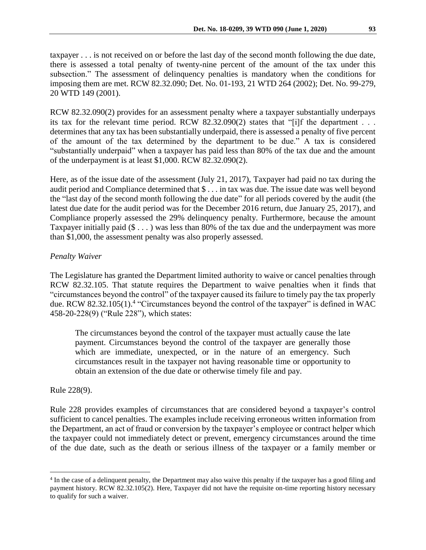taxpayer . . . is not received on or before the last day of the second month following the due date, there is assessed a total penalty of twenty-nine percent of the amount of the tax under this subsection." The assessment of delinquency penalties is mandatory when the conditions for imposing them are met. RCW 82.32.090; Det. No. 01-193, 21 WTD 264 (2002); Det. No. 99-279, 20 WTD 149 (2001).

RCW 82.32.090(2) provides for an assessment penalty where a taxpayer substantially underpays its tax for the relevant time period. RCW 82.32.090(2) states that "[i]f the department . . . determines that any tax has been substantially underpaid, there is assessed a penalty of five percent of the amount of the tax determined by the department to be due." A tax is considered "substantially underpaid" when a taxpayer has paid less than 80% of the tax due and the amount of the underpayment is at least \$1,000. RCW 82.32.090(2).

Here, as of the issue date of the assessment (July 21, 2017), Taxpayer had paid no tax during the audit period and Compliance determined that \$ . . . in tax was due. The issue date was well beyond the "last day of the second month following the due date" for all periods covered by the audit (the latest due date for the audit period was for the December 2016 return, due January 25, 2017), and Compliance properly assessed the 29% delinquency penalty. Furthermore, because the amount Taxpayer initially paid  $(\$ \dots)$  was less than 80% of the tax due and the underpayment was more than \$1,000, the assessment penalty was also properly assessed.

# *Penalty Waiver*

The Legislature has granted the Department limited authority to waive or cancel penalties through RCW 82.32.105. That statute requires the Department to waive penalties when it finds that "circumstances beyond the control" of the taxpayer caused its failure to timely pay the tax properly due. RCW 82.32.105(1).<sup>4</sup> "Circumstances beyond the control of the taxpayer" is defined in WAC 458-20-228(9) ("Rule 228"), which states:

The circumstances beyond the control of the taxpayer must actually cause the late payment. Circumstances beyond the control of the taxpayer are generally those which are immediate, unexpected, or in the nature of an emergency. Such circumstances result in the taxpayer not having reasonable time or opportunity to obtain an extension of the due date or otherwise timely file and pay.

Rule 228(9).

 $\overline{a}$ 

Rule 228 provides examples of circumstances that are considered beyond a taxpayer's control sufficient to cancel penalties. The examples include receiving erroneous written information from the Department, an act of fraud or conversion by the taxpayer's employee or contract helper which the taxpayer could not immediately detect or prevent, emergency circumstances around the time of the due date, such as the death or serious illness of the taxpayer or a family member or

<sup>&</sup>lt;sup>4</sup> In the case of a delinquent penalty, the Department may also waive this penalty if the taxpayer has a good filing and payment history. RCW 82.32.105(2). Here, Taxpayer did not have the requisite on-time reporting history necessary to qualify for such a waiver.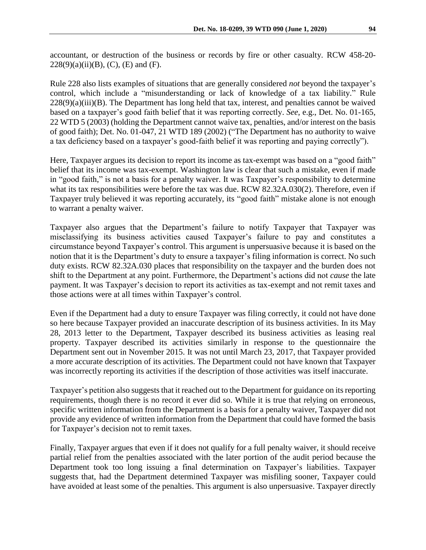Rule 228 also lists examples of situations that are generally considered *not* beyond the taxpayer's control, which include a "misunderstanding or lack of knowledge of a tax liability." Rule 228(9)(a)(iii)(B). The Department has long held that tax, interest, and penalties cannot be waived based on a taxpayer's good faith belief that it was reporting correctly. *See*, e.g., Det. No. 01-165, 22 WTD 5 (2003) (holding the Department cannot waive tax, penalties, and/or interest on the basis of good faith); Det. No. 01-047, 21 WTD 189 (2002) ("The Department has no authority to waive a tax deficiency based on a taxpayer's good-faith belief it was reporting and paying correctly").

Here, Taxpayer argues its decision to report its income as tax-exempt was based on a "good faith" belief that its income was tax-exempt. Washington law is clear that such a mistake, even if made in "good faith," is not a basis for a penalty waiver. It was Taxpayer's responsibility to determine what its tax responsibilities were before the tax was due. RCW 82.32A.030(2). Therefore, even if Taxpayer truly believed it was reporting accurately, its "good faith" mistake alone is not enough to warrant a penalty waiver.

Taxpayer also argues that the Department's failure to notify Taxpayer that Taxpayer was misclassifying its business activities caused Taxpayer's failure to pay and constitutes a circumstance beyond Taxpayer's control. This argument is unpersuasive because it is based on the notion that it is the Department's duty to ensure a taxpayer's filing information is correct. No such duty exists. RCW 82.32A.030 places that responsibility on the taxpayer and the burden does not shift to the Department at any point. Furthermore, the Department's actions did not *cause* the late payment. It was Taxpayer's decision to report its activities as tax-exempt and not remit taxes and those actions were at all times within Taxpayer's control.

Even if the Department had a duty to ensure Taxpayer was filing correctly, it could not have done so here because Taxpayer provided an inaccurate description of its business activities. In its May 28, 2013 letter to the Department, Taxpayer described its business activities as leasing real property. Taxpayer described its activities similarly in response to the questionnaire the Department sent out in November 2015. It was not until March 23, 2017, that Taxpayer provided a more accurate description of its activities. The Department could not have known that Taxpayer was incorrectly reporting its activities if the description of those activities was itself inaccurate.

Taxpayer's petition also suggests that it reached out to the Department for guidance on its reporting requirements, though there is no record it ever did so. While it is true that relying on erroneous, specific written information from the Department is a basis for a penalty waiver, Taxpayer did not provide any evidence of written information from the Department that could have formed the basis for Taxpayer's decision not to remit taxes.

Finally, Taxpayer argues that even if it does not qualify for a full penalty waiver, it should receive partial relief from the penalties associated with the later portion of the audit period because the Department took too long issuing a final determination on Taxpayer's liabilities. Taxpayer suggests that, had the Department determined Taxpayer was misfiling sooner, Taxpayer could have avoided at least some of the penalties. This argument is also unpersuasive. Taxpayer directly